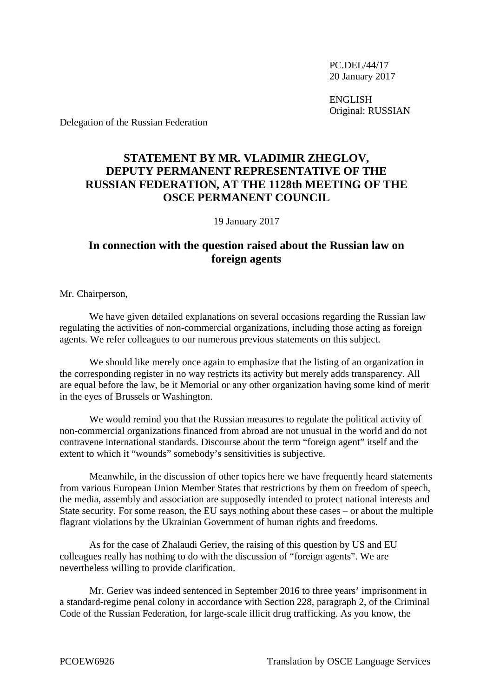PC.DEL/44/17 20 January 2017

ENGLISH Original: RUSSIAN

Delegation of the Russian Federation

## **STATEMENT BY MR. VLADIMIR ZHEGLOV, DEPUTY PERMANENT REPRESENTATIVE OF THE RUSSIAN FEDERATION, AT THE 1128th MEETING OF THE OSCE PERMANENT COUNCIL**

19 January 2017

## **In connection with the question raised about the Russian law on foreign agents**

Mr. Chairperson,

We have given detailed explanations on several occasions regarding the Russian law regulating the activities of non-commercial organizations, including those acting as foreign agents. We refer colleagues to our numerous previous statements on this subject.

We should like merely once again to emphasize that the listing of an organization in the corresponding register in no way restricts its activity but merely adds transparency. All are equal before the law, be it Memorial or any other organization having some kind of merit in the eyes of Brussels or Washington.

We would remind you that the Russian measures to regulate the political activity of non-commercial organizations financed from abroad are not unusual in the world and do not contravene international standards. Discourse about the term "foreign agent" itself and the extent to which it "wounds" somebody's sensitivities is subjective.

Meanwhile, in the discussion of other topics here we have frequently heard statements from various European Union Member States that restrictions by them on freedom of speech, the media, assembly and association are supposedly intended to protect national interests and State security. For some reason, the EU says nothing about these cases – or about the multiple flagrant violations by the Ukrainian Government of human rights and freedoms.

As for the case of Zhalaudi Geriev, the raising of this question by US and EU colleagues really has nothing to do with the discussion of "foreign agents". We are nevertheless willing to provide clarification.

Mr. Geriev was indeed sentenced in September 2016 to three years' imprisonment in a standard-regime penal colony in accordance with Section 228, paragraph 2, of the Criminal Code of the Russian Federation, for large-scale illicit drug trafficking. As you know, the